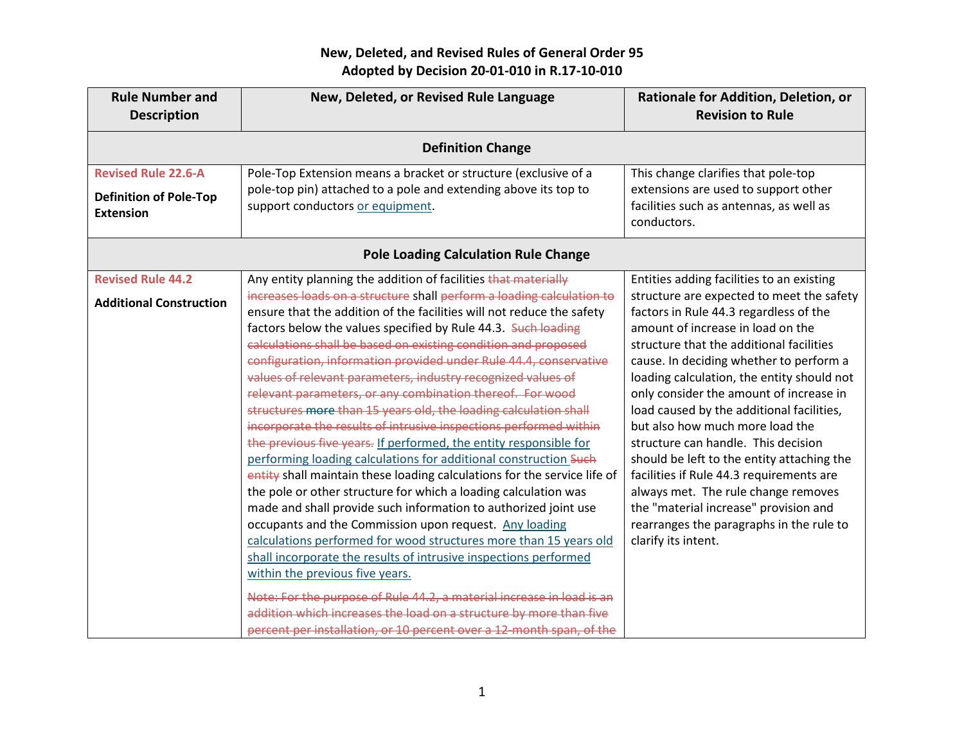| <b>Rule Number and</b><br><b>Description</b>                                    | New, Deleted, or Revised Rule Language                                                                                                                                                                                                                                                                                                                                                                                                                                                                                                                                                                                                                                                                                                                                                                                                                                                                                                                                                                                                                                                                                                                                                                                                                       | Rationale for Addition, Deletion, or<br><b>Revision to Rule</b>                                                                                                                                                                                                                                                                                                                                                                                                                                                                                                                                                                                                                                                           |
|---------------------------------------------------------------------------------|--------------------------------------------------------------------------------------------------------------------------------------------------------------------------------------------------------------------------------------------------------------------------------------------------------------------------------------------------------------------------------------------------------------------------------------------------------------------------------------------------------------------------------------------------------------------------------------------------------------------------------------------------------------------------------------------------------------------------------------------------------------------------------------------------------------------------------------------------------------------------------------------------------------------------------------------------------------------------------------------------------------------------------------------------------------------------------------------------------------------------------------------------------------------------------------------------------------------------------------------------------------|---------------------------------------------------------------------------------------------------------------------------------------------------------------------------------------------------------------------------------------------------------------------------------------------------------------------------------------------------------------------------------------------------------------------------------------------------------------------------------------------------------------------------------------------------------------------------------------------------------------------------------------------------------------------------------------------------------------------------|
|                                                                                 | <b>Definition Change</b>                                                                                                                                                                                                                                                                                                                                                                                                                                                                                                                                                                                                                                                                                                                                                                                                                                                                                                                                                                                                                                                                                                                                                                                                                                     |                                                                                                                                                                                                                                                                                                                                                                                                                                                                                                                                                                                                                                                                                                                           |
| <b>Revised Rule 22.6-A</b><br><b>Definition of Pole-Top</b><br><b>Extension</b> | Pole-Top Extension means a bracket or structure (exclusive of a<br>pole-top pin) attached to a pole and extending above its top to<br>support conductors or equipment.                                                                                                                                                                                                                                                                                                                                                                                                                                                                                                                                                                                                                                                                                                                                                                                                                                                                                                                                                                                                                                                                                       | This change clarifies that pole-top<br>extensions are used to support other<br>facilities such as antennas, as well as<br>conductors.                                                                                                                                                                                                                                                                                                                                                                                                                                                                                                                                                                                     |
|                                                                                 | <b>Pole Loading Calculation Rule Change</b>                                                                                                                                                                                                                                                                                                                                                                                                                                                                                                                                                                                                                                                                                                                                                                                                                                                                                                                                                                                                                                                                                                                                                                                                                  |                                                                                                                                                                                                                                                                                                                                                                                                                                                                                                                                                                                                                                                                                                                           |
| <b>Revised Rule 44.2</b><br><b>Additional Construction</b>                      | Any entity planning the addition of facilities that materially<br>increases loads on a structure shall perform a loading calculation to<br>ensure that the addition of the facilities will not reduce the safety<br>factors below the values specified by Rule 44.3. Such loading<br>calculations shall be based on existing condition and proposed<br>configuration, information provided under Rule 44.4, conservative<br>values of relevant parameters, industry recognized values of<br>relevant parameters, or any combination thereof. For wood<br>structures more than 15 years old, the loading calculation shall<br>incorporate the results of intrusive inspections performed within<br>the previous five years. If performed, the entity responsible for<br>performing loading calculations for additional construction Such<br>entity shall maintain these loading calculations for the service life of<br>the pole or other structure for which a loading calculation was<br>made and shall provide such information to authorized joint use<br>occupants and the Commission upon request. Any loading<br>calculations performed for wood structures more than 15 years old<br>shall incorporate the results of intrusive inspections performed | Entities adding facilities to an existing<br>structure are expected to meet the safety<br>factors in Rule 44.3 regardless of the<br>amount of increase in load on the<br>structure that the additional facilities<br>cause. In deciding whether to perform a<br>loading calculation, the entity should not<br>only consider the amount of increase in<br>load caused by the additional facilities,<br>but also how much more load the<br>structure can handle. This decision<br>should be left to the entity attaching the<br>facilities if Rule 44.3 requirements are<br>always met. The rule change removes<br>the "material increase" provision and<br>rearranges the paragraphs in the rule to<br>clarify its intent. |
|                                                                                 | within the previous five years.<br>Note: For the purpose of Rule 44.2, a material increase in load is an<br>addition which increases the load on a structure by more than five<br>percent per installation, or 10 percent over a 12-month span, of the                                                                                                                                                                                                                                                                                                                                                                                                                                                                                                                                                                                                                                                                                                                                                                                                                                                                                                                                                                                                       |                                                                                                                                                                                                                                                                                                                                                                                                                                                                                                                                                                                                                                                                                                                           |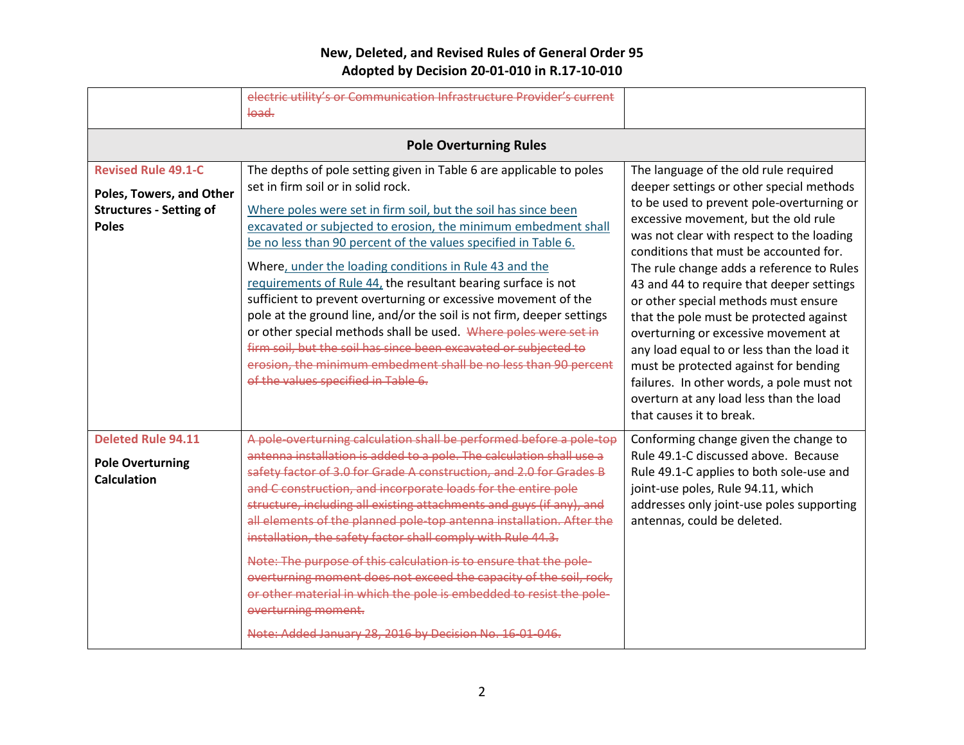|                                                                                                          | electric utility's or Communication Infrastructure Provider's current<br>load.                                                                                                                                                                                                                                                                                                                                                                                                                                                                                                                                                                                                                                                                                                                                                         |                                                                                                                                                                                                                                                                                                                                                                                                                                                                                                                                                                                                                                                                                               |
|----------------------------------------------------------------------------------------------------------|----------------------------------------------------------------------------------------------------------------------------------------------------------------------------------------------------------------------------------------------------------------------------------------------------------------------------------------------------------------------------------------------------------------------------------------------------------------------------------------------------------------------------------------------------------------------------------------------------------------------------------------------------------------------------------------------------------------------------------------------------------------------------------------------------------------------------------------|-----------------------------------------------------------------------------------------------------------------------------------------------------------------------------------------------------------------------------------------------------------------------------------------------------------------------------------------------------------------------------------------------------------------------------------------------------------------------------------------------------------------------------------------------------------------------------------------------------------------------------------------------------------------------------------------------|
|                                                                                                          | <b>Pole Overturning Rules</b>                                                                                                                                                                                                                                                                                                                                                                                                                                                                                                                                                                                                                                                                                                                                                                                                          |                                                                                                                                                                                                                                                                                                                                                                                                                                                                                                                                                                                                                                                                                               |
| <b>Revised Rule 49.1-C</b><br>Poles, Towers, and Other<br><b>Structures - Setting of</b><br><b>Poles</b> | The depths of pole setting given in Table 6 are applicable to poles<br>set in firm soil or in solid rock.<br>Where poles were set in firm soil, but the soil has since been<br>excavated or subjected to erosion, the minimum embedment shall<br>be no less than 90 percent of the values specified in Table 6.<br>Where, under the loading conditions in Rule 43 and the<br>requirements of Rule 44, the resultant bearing surface is not<br>sufficient to prevent overturning or excessive movement of the<br>pole at the ground line, and/or the soil is not firm, deeper settings<br>or other special methods shall be used. Where poles were set in<br>firm soil, but the soil has since been excavated or subjected to<br>erosion, the minimum embedment shall be no less than 90 percent<br>of the values specified in Table 6. | The language of the old rule required<br>deeper settings or other special methods<br>to be used to prevent pole-overturning or<br>excessive movement, but the old rule<br>was not clear with respect to the loading<br>conditions that must be accounted for.<br>The rule change adds a reference to Rules<br>43 and 44 to require that deeper settings<br>or other special methods must ensure<br>that the pole must be protected against<br>overturning or excessive movement at<br>any load equal to or less than the load it<br>must be protected against for bending<br>failures. In other words, a pole must not<br>overturn at any load less than the load<br>that causes it to break. |
| <b>Deleted Rule 94.11</b><br><b>Pole Overturning</b><br><b>Calculation</b>                               | A pole-overturning calculation shall be performed before a pole-top<br>antenna installation is added to a pole. The calculation shall use a<br>safety factor of 3.0 for Grade A construction, and 2.0 for Grades B<br>and C construction, and incorporate loads for the entire pole<br>structure, including all existing attachments and guys (if any), and<br>all elements of the planned pole-top antenna installation. After the<br>installation, the safety factor shall comply with Rule 44.3.<br>Note: The purpose of this calculation is to ensure that the pole-<br>overturning moment does not exceed the capacity of the soil, rock,<br>or other material in which the pole is embedded to resist the pole-<br>overturning moment.<br>Note: Added January 28, 2016 by Decision No. 16-01-046.                                | Conforming change given the change to<br>Rule 49.1-C discussed above. Because<br>Rule 49.1-C applies to both sole-use and<br>joint-use poles, Rule 94.11, which<br>addresses only joint-use poles supporting<br>antennas, could be deleted.                                                                                                                                                                                                                                                                                                                                                                                                                                                   |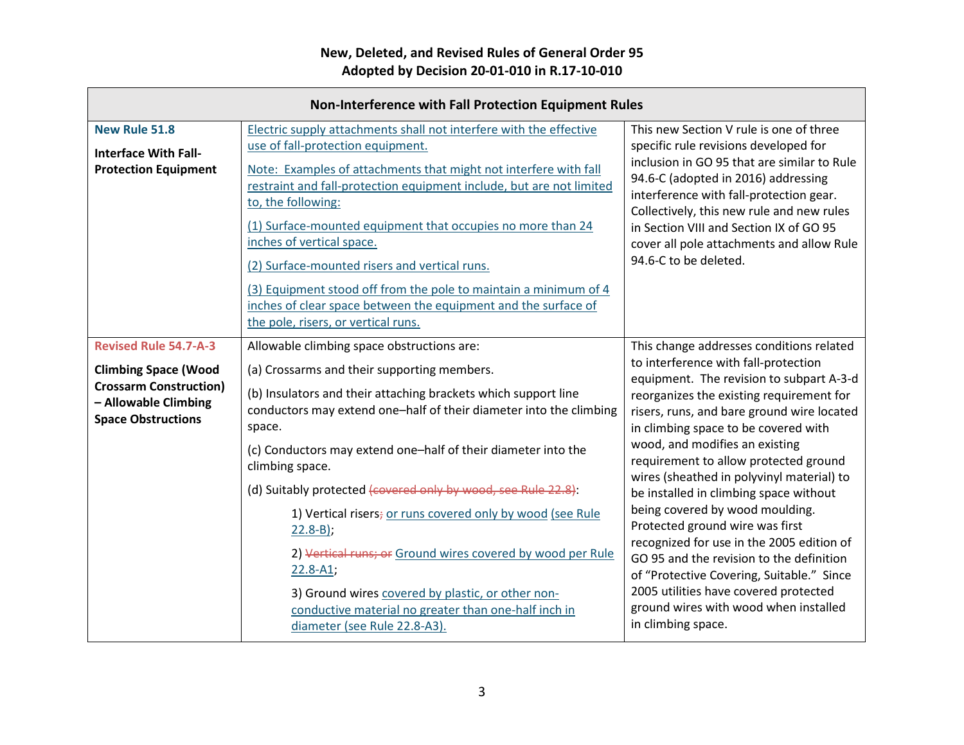|                                                                                                                                                   | Non-Interference with Fall Protection Equipment Rules                                                                                                                                                                                                                                                                                                                                                                                                                                                                                                                                                                                                                                                   |                                                                                                                                                                                                                                                                                                                                                                                                                                                                                                                                                                                                                                                                                                                                                      |
|---------------------------------------------------------------------------------------------------------------------------------------------------|---------------------------------------------------------------------------------------------------------------------------------------------------------------------------------------------------------------------------------------------------------------------------------------------------------------------------------------------------------------------------------------------------------------------------------------------------------------------------------------------------------------------------------------------------------------------------------------------------------------------------------------------------------------------------------------------------------|------------------------------------------------------------------------------------------------------------------------------------------------------------------------------------------------------------------------------------------------------------------------------------------------------------------------------------------------------------------------------------------------------------------------------------------------------------------------------------------------------------------------------------------------------------------------------------------------------------------------------------------------------------------------------------------------------------------------------------------------------|
| New Rule 51.8<br><b>Interface With Fall-</b><br><b>Protection Equipment</b>                                                                       | Electric supply attachments shall not interfere with the effective<br>use of fall-protection equipment.<br>Note: Examples of attachments that might not interfere with fall<br>restraint and fall-protection equipment include, but are not limited<br>to, the following:<br>(1) Surface-mounted equipment that occupies no more than 24<br>inches of vertical space.<br>(2) Surface-mounted risers and vertical runs.<br>(3) Equipment stood off from the pole to maintain a minimum of 4<br>inches of clear space between the equipment and the surface of<br>the pole, risers, or vertical runs.                                                                                                     | This new Section V rule is one of three<br>specific rule revisions developed for<br>inclusion in GO 95 that are similar to Rule<br>94.6-C (adopted in 2016) addressing<br>interference with fall-protection gear.<br>Collectively, this new rule and new rules<br>in Section VIII and Section IX of GO 95<br>cover all pole attachments and allow Rule<br>94.6-C to be deleted.                                                                                                                                                                                                                                                                                                                                                                      |
| <b>Revised Rule 54.7-A-3</b><br><b>Climbing Space (Wood</b><br><b>Crossarm Construction)</b><br>- Allowable Climbing<br><b>Space Obstructions</b> | Allowable climbing space obstructions are:<br>(a) Crossarms and their supporting members.<br>(b) Insulators and their attaching brackets which support line<br>conductors may extend one-half of their diameter into the climbing<br>space.<br>(c) Conductors may extend one-half of their diameter into the<br>climbing space.<br>(d) Suitably protected (covered only by wood, see Rule 22.8):<br>1) Vertical risers; or runs covered only by wood (see Rule<br>$22.8 - B$<br>2) Vertical runs; or Ground wires covered by wood per Rule<br>$22.8 - A1;$<br>3) Ground wires covered by plastic, or other non-<br>conductive material no greater than one-half inch in<br>diameter (see Rule 22.8-A3). | This change addresses conditions related<br>to interference with fall-protection<br>equipment. The revision to subpart A-3-d<br>reorganizes the existing requirement for<br>risers, runs, and bare ground wire located<br>in climbing space to be covered with<br>wood, and modifies an existing<br>requirement to allow protected ground<br>wires (sheathed in polyvinyl material) to<br>be installed in climbing space without<br>being covered by wood moulding.<br>Protected ground wire was first<br>recognized for use in the 2005 edition of<br>GO 95 and the revision to the definition<br>of "Protective Covering, Suitable." Since<br>2005 utilities have covered protected<br>ground wires with wood when installed<br>in climbing space. |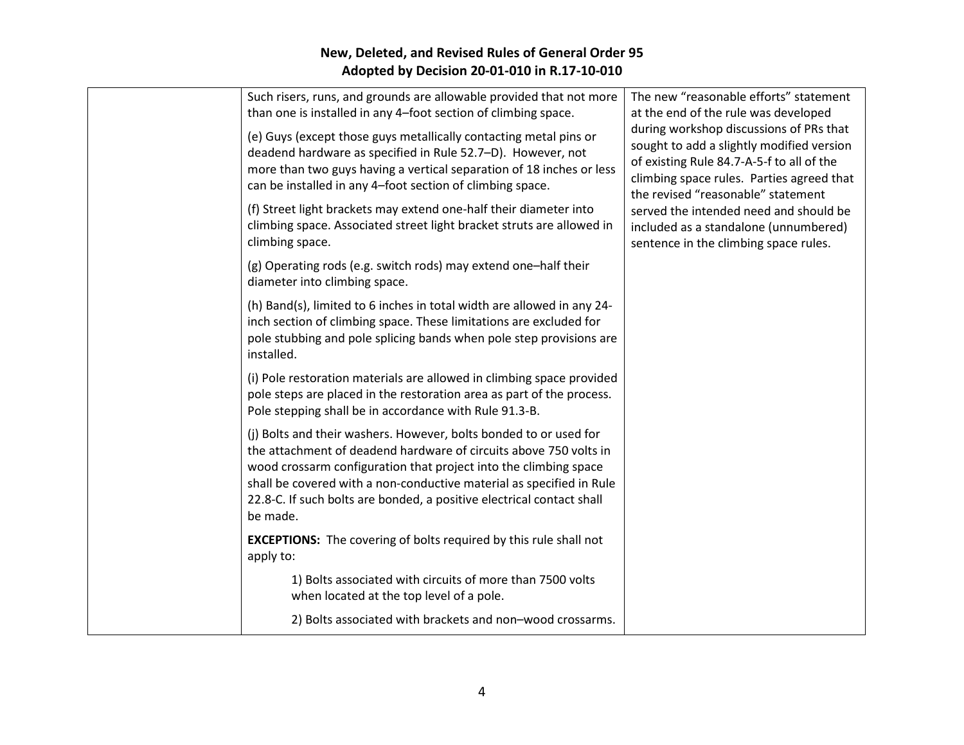| Such risers, runs, and grounds are allowable provided that not more<br>than one is installed in any 4-foot section of climbing space.                                                                                                                                                                                                                                   | The new "reasonable efforts" statement<br>at the end of the rule was developed                                                                                                                                       |
|-------------------------------------------------------------------------------------------------------------------------------------------------------------------------------------------------------------------------------------------------------------------------------------------------------------------------------------------------------------------------|----------------------------------------------------------------------------------------------------------------------------------------------------------------------------------------------------------------------|
| (e) Guys (except those guys metallically contacting metal pins or<br>deadend hardware as specified in Rule 52.7-D). However, not<br>more than two guys having a vertical separation of 18 inches or less<br>can be installed in any 4-foot section of climbing space.                                                                                                   | during workshop discussions of PRs that<br>sought to add a slightly modified version<br>of existing Rule 84.7-A-5-f to all of the<br>climbing space rules. Parties agreed that<br>the revised "reasonable" statement |
| (f) Street light brackets may extend one-half their diameter into<br>climbing space. Associated street light bracket struts are allowed in<br>climbing space.                                                                                                                                                                                                           | served the intended need and should be<br>included as a standalone (unnumbered)<br>sentence in the climbing space rules.                                                                                             |
| (g) Operating rods (e.g. switch rods) may extend one-half their<br>diameter into climbing space.                                                                                                                                                                                                                                                                        |                                                                                                                                                                                                                      |
| (h) Band(s), limited to 6 inches in total width are allowed in any 24-<br>inch section of climbing space. These limitations are excluded for<br>pole stubbing and pole splicing bands when pole step provisions are<br>installed.                                                                                                                                       |                                                                                                                                                                                                                      |
| (i) Pole restoration materials are allowed in climbing space provided<br>pole steps are placed in the restoration area as part of the process.<br>Pole stepping shall be in accordance with Rule 91.3-B.                                                                                                                                                                |                                                                                                                                                                                                                      |
| (j) Bolts and their washers. However, bolts bonded to or used for<br>the attachment of deadend hardware of circuits above 750 volts in<br>wood crossarm configuration that project into the climbing space<br>shall be covered with a non-conductive material as specified in Rule<br>22.8-C. If such bolts are bonded, a positive electrical contact shall<br>be made. |                                                                                                                                                                                                                      |
| <b>EXCEPTIONS:</b> The covering of bolts required by this rule shall not<br>apply to:                                                                                                                                                                                                                                                                                   |                                                                                                                                                                                                                      |
| 1) Bolts associated with circuits of more than 7500 volts<br>when located at the top level of a pole.                                                                                                                                                                                                                                                                   |                                                                                                                                                                                                                      |
| 2) Bolts associated with brackets and non-wood crossarms.                                                                                                                                                                                                                                                                                                               |                                                                                                                                                                                                                      |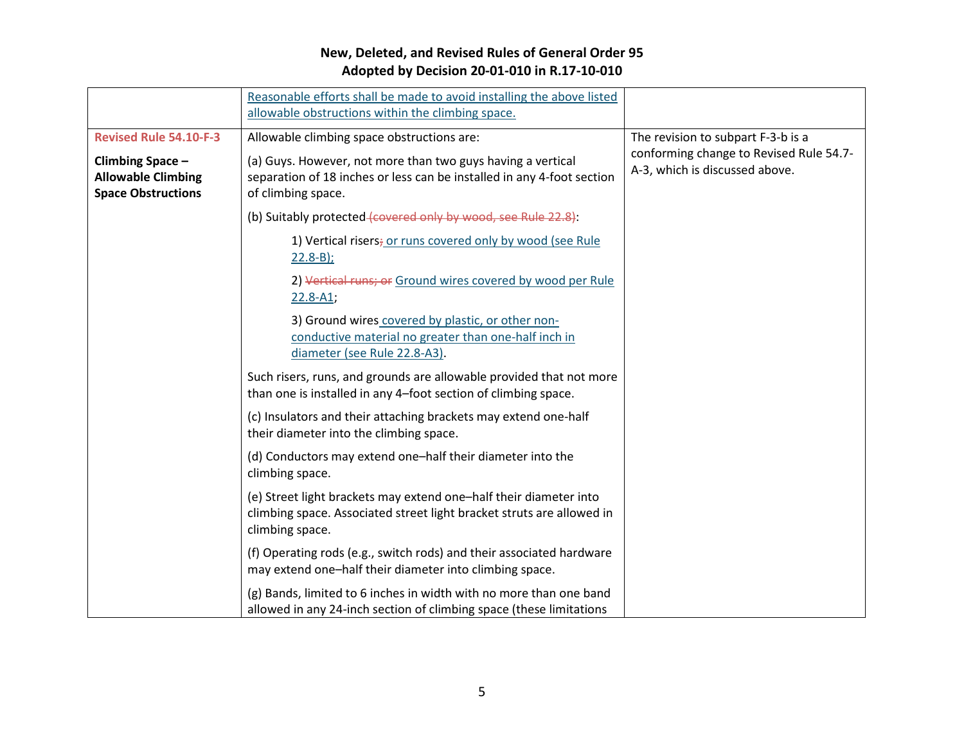|                                                                            | Reasonable efforts shall be made to avoid installing the above listed<br>allowable obstructions within the climbing space.                                    |                                                                           |
|----------------------------------------------------------------------------|---------------------------------------------------------------------------------------------------------------------------------------------------------------|---------------------------------------------------------------------------|
| <b>Revised Rule 54.10-F-3</b>                                              | Allowable climbing space obstructions are:                                                                                                                    | The revision to subpart F-3-b is a                                        |
| Climbing Space -<br><b>Allowable Climbing</b><br><b>Space Obstructions</b> | (a) Guys. However, not more than two guys having a vertical<br>separation of 18 inches or less can be installed in any 4-foot section<br>of climbing space.   | conforming change to Revised Rule 54.7-<br>A-3, which is discussed above. |
|                                                                            | (b) Suitably protected (covered only by wood, see Rule 22.8):                                                                                                 |                                                                           |
|                                                                            | 1) Vertical risers; or runs covered only by wood (see Rule<br>$22.8 - B);$                                                                                    |                                                                           |
|                                                                            | 2) Vertical runs; or Ground wires covered by wood per Rule<br>$22.8 - A1;$                                                                                    |                                                                           |
|                                                                            | 3) Ground wires covered by plastic, or other non-<br>conductive material no greater than one-half inch in<br>diameter (see Rule 22.8-A3).                     |                                                                           |
|                                                                            | Such risers, runs, and grounds are allowable provided that not more<br>than one is installed in any 4-foot section of climbing space.                         |                                                                           |
|                                                                            | (c) Insulators and their attaching brackets may extend one-half<br>their diameter into the climbing space.                                                    |                                                                           |
|                                                                            | (d) Conductors may extend one-half their diameter into the<br>climbing space.                                                                                 |                                                                           |
|                                                                            | (e) Street light brackets may extend one-half their diameter into<br>climbing space. Associated street light bracket struts are allowed in<br>climbing space. |                                                                           |
|                                                                            | (f) Operating rods (e.g., switch rods) and their associated hardware<br>may extend one-half their diameter into climbing space.                               |                                                                           |
|                                                                            | (g) Bands, limited to 6 inches in width with no more than one band<br>allowed in any 24-inch section of climbing space (these limitations                     |                                                                           |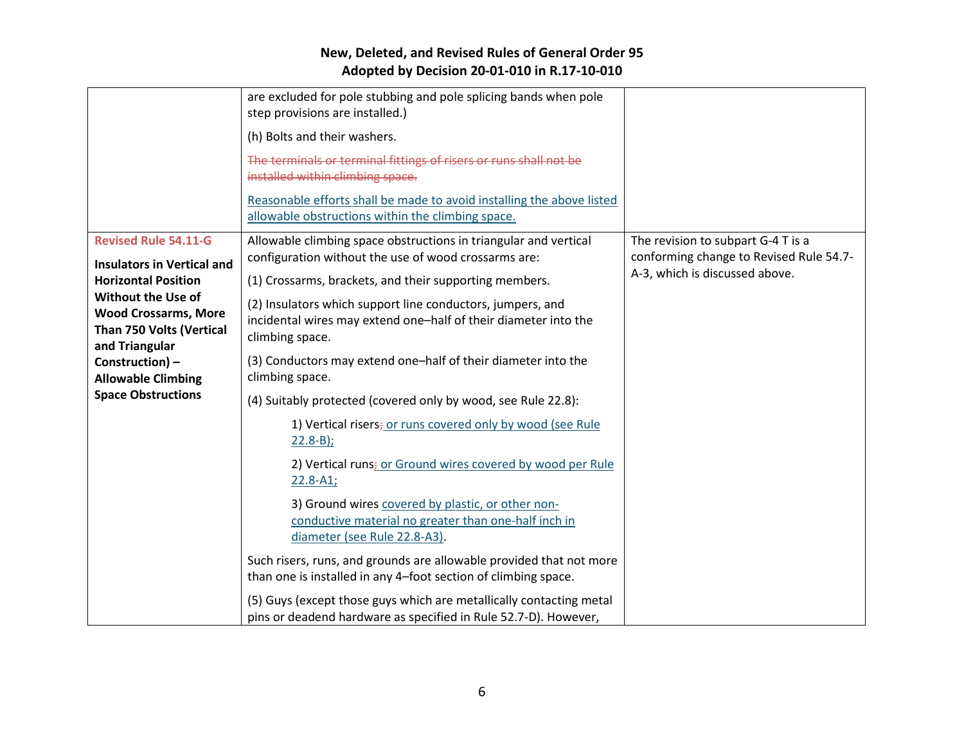|                                                                                                                                                                                                                                                                                       | are excluded for pole stubbing and pole splicing bands when pole<br>step provisions are installed.)<br>(h) Bolts and their washers.<br>The terminals or terminal fittings of risers or runs shall not be<br>installed within climbing space.<br>Reasonable efforts shall be made to avoid installing the above listed<br>allowable obstructions within the climbing space.                                                                                                                                                                                                                                                                                                                                                                                                                                                                                                                                                                                                                                           |                                                                                                                 |
|---------------------------------------------------------------------------------------------------------------------------------------------------------------------------------------------------------------------------------------------------------------------------------------|----------------------------------------------------------------------------------------------------------------------------------------------------------------------------------------------------------------------------------------------------------------------------------------------------------------------------------------------------------------------------------------------------------------------------------------------------------------------------------------------------------------------------------------------------------------------------------------------------------------------------------------------------------------------------------------------------------------------------------------------------------------------------------------------------------------------------------------------------------------------------------------------------------------------------------------------------------------------------------------------------------------------|-----------------------------------------------------------------------------------------------------------------|
| <b>Revised Rule 54.11-G</b><br><b>Insulators in Vertical and</b><br><b>Horizontal Position</b><br><b>Without the Use of</b><br><b>Wood Crossarms, More</b><br>Than 750 Volts (Vertical<br>and Triangular<br>Construction) -<br><b>Allowable Climbing</b><br><b>Space Obstructions</b> | Allowable climbing space obstructions in triangular and vertical<br>configuration without the use of wood crossarms are:<br>(1) Crossarms, brackets, and their supporting members.<br>(2) Insulators which support line conductors, jumpers, and<br>incidental wires may extend one-half of their diameter into the<br>climbing space.<br>(3) Conductors may extend one-half of their diameter into the<br>climbing space.<br>(4) Suitably protected (covered only by wood, see Rule 22.8):<br>1) Vertical risers; or runs covered only by wood (see Rule<br>$22.8 - B);$<br>2) Vertical runs; or Ground wires covered by wood per Rule<br>$22.8 - A1;$<br>3) Ground wires covered by plastic, or other non-<br>conductive material no greater than one-half inch in<br>diameter (see Rule 22.8-A3).<br>Such risers, runs, and grounds are allowable provided that not more<br>than one is installed in any 4-foot section of climbing space.<br>(5) Guys (except those guys which are metallically contacting metal | The revision to subpart G-4 T is a<br>conforming change to Revised Rule 54.7-<br>A-3, which is discussed above. |
|                                                                                                                                                                                                                                                                                       | pins or deadend hardware as specified in Rule 52.7-D). However,                                                                                                                                                                                                                                                                                                                                                                                                                                                                                                                                                                                                                                                                                                                                                                                                                                                                                                                                                      |                                                                                                                 |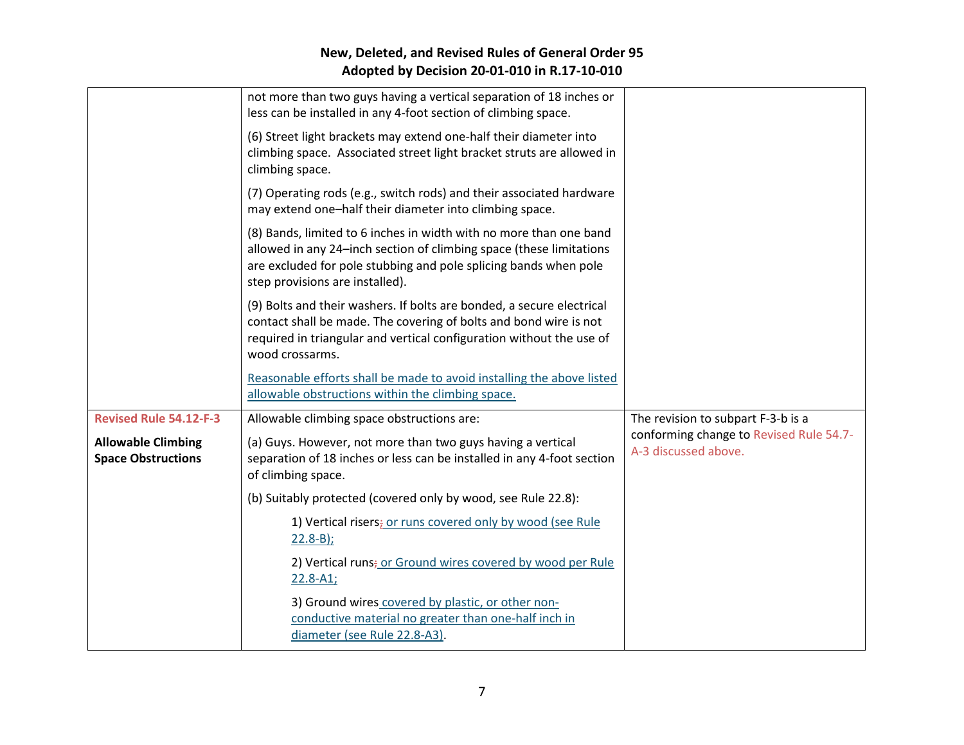|                                                                                         | not more than two guys having a vertical separation of 18 inches or<br>less can be installed in any 4-foot section of climbing space.                                                                                                            |                                                                                                       |
|-----------------------------------------------------------------------------------------|--------------------------------------------------------------------------------------------------------------------------------------------------------------------------------------------------------------------------------------------------|-------------------------------------------------------------------------------------------------------|
|                                                                                         | (6) Street light brackets may extend one-half their diameter into<br>climbing space. Associated street light bracket struts are allowed in<br>climbing space.                                                                                    |                                                                                                       |
|                                                                                         | (7) Operating rods (e.g., switch rods) and their associated hardware<br>may extend one-half their diameter into climbing space.                                                                                                                  |                                                                                                       |
|                                                                                         | (8) Bands, limited to 6 inches in width with no more than one band<br>allowed in any 24-inch section of climbing space (these limitations<br>are excluded for pole stubbing and pole splicing bands when pole<br>step provisions are installed). |                                                                                                       |
|                                                                                         | (9) Bolts and their washers. If bolts are bonded, a secure electrical<br>contact shall be made. The covering of bolts and bond wire is not<br>required in triangular and vertical configuration without the use of<br>wood crossarms.            |                                                                                                       |
|                                                                                         | Reasonable efforts shall be made to avoid installing the above listed<br>allowable obstructions within the climbing space.                                                                                                                       |                                                                                                       |
| <b>Revised Rule 54.12-F-3</b><br><b>Allowable Climbing</b><br><b>Space Obstructions</b> | Allowable climbing space obstructions are:<br>(a) Guys. However, not more than two guys having a vertical<br>separation of 18 inches or less can be installed in any 4-foot section<br>of climbing space.                                        | The revision to subpart F-3-b is a<br>conforming change to Revised Rule 54.7-<br>A-3 discussed above. |
|                                                                                         | (b) Suitably protected (covered only by wood, see Rule 22.8):                                                                                                                                                                                    |                                                                                                       |
|                                                                                         | 1) Vertical risers; or runs covered only by wood (see Rule<br>$22.8 - B);$                                                                                                                                                                       |                                                                                                       |
|                                                                                         | 2) Vertical runs; or Ground wires covered by wood per Rule<br>$22.8 - A1;$                                                                                                                                                                       |                                                                                                       |
|                                                                                         | 3) Ground wires covered by plastic, or other non-<br>conductive material no greater than one-half inch in<br>diameter (see Rule 22.8-A3).                                                                                                        |                                                                                                       |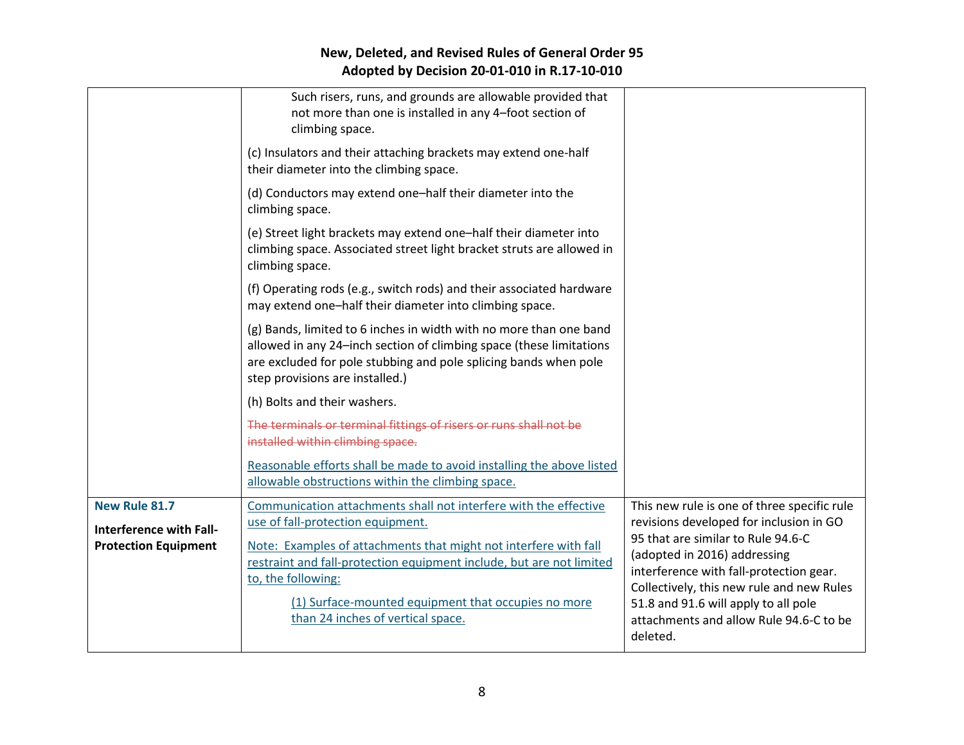|                                | Such risers, runs, and grounds are allowable provided that<br>not more than one is installed in any 4-foot section of<br>climbing space.                                                                                                                   |                                                                                                                                                                                                         |
|--------------------------------|------------------------------------------------------------------------------------------------------------------------------------------------------------------------------------------------------------------------------------------------------------|---------------------------------------------------------------------------------------------------------------------------------------------------------------------------------------------------------|
|                                | (c) Insulators and their attaching brackets may extend one-half<br>their diameter into the climbing space.                                                                                                                                                 |                                                                                                                                                                                                         |
|                                | (d) Conductors may extend one-half their diameter into the<br>climbing space.                                                                                                                                                                              |                                                                                                                                                                                                         |
|                                | (e) Street light brackets may extend one-half their diameter into<br>climbing space. Associated street light bracket struts are allowed in<br>climbing space.                                                                                              |                                                                                                                                                                                                         |
|                                | (f) Operating rods (e.g., switch rods) and their associated hardware<br>may extend one-half their diameter into climbing space.                                                                                                                            |                                                                                                                                                                                                         |
|                                | (g) Bands, limited to 6 inches in width with no more than one band<br>allowed in any 24-inch section of climbing space (these limitations<br>are excluded for pole stubbing and pole splicing bands when pole<br>step provisions are installed.)           |                                                                                                                                                                                                         |
|                                | (h) Bolts and their washers.                                                                                                                                                                                                                               |                                                                                                                                                                                                         |
|                                | The terminals or terminal fittings of risers or runs shall not be<br>installed within climbing space.                                                                                                                                                      |                                                                                                                                                                                                         |
|                                | Reasonable efforts shall be made to avoid installing the above listed<br>allowable obstructions within the climbing space.                                                                                                                                 |                                                                                                                                                                                                         |
| <b>New Rule 81.7</b>           | Communication attachments shall not interfere with the effective                                                                                                                                                                                           | This new rule is one of three specific rule                                                                                                                                                             |
| <b>Interference with Fall-</b> | use of fall-protection equipment.                                                                                                                                                                                                                          | revisions developed for inclusion in GO<br>95 that are similar to Rule 94.6-C                                                                                                                           |
| <b>Protection Equipment</b>    | Note: Examples of attachments that might not interfere with fall<br>restraint and fall-protection equipment include, but are not limited<br>to, the following:<br>(1) Surface-mounted equipment that occupies no more<br>than 24 inches of vertical space. | (adopted in 2016) addressing<br>interference with fall-protection gear.<br>Collectively, this new rule and new Rules<br>51.8 and 91.6 will apply to all pole<br>attachments and allow Rule 94.6-C to be |
|                                |                                                                                                                                                                                                                                                            | deleted.                                                                                                                                                                                                |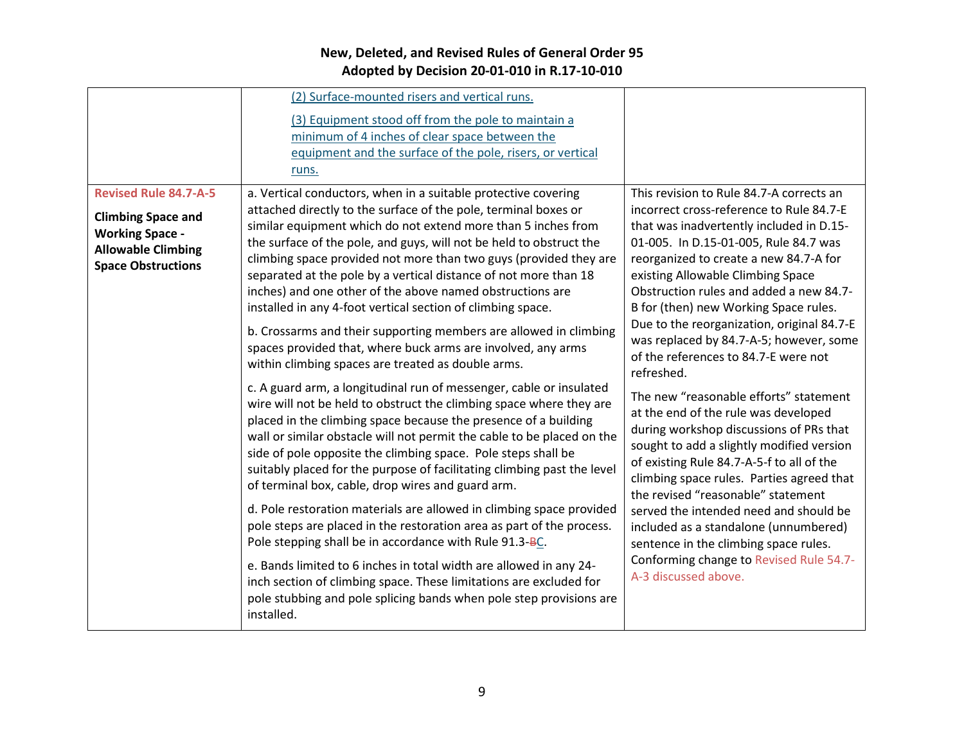|                                                                                                                                               | (2) Surface-mounted risers and vertical runs.<br>(3) Equipment stood off from the pole to maintain a<br>minimum of 4 inches of clear space between the<br>equipment and the surface of the pole, risers, or vertical<br>runs.                                                                                                                                                                                                                                                                                                                                                                                                                                                                                                                                                                                                                                                                                                         |                                                                                                                                                                                                                                                                                                                                                                                                                                                                                                       |
|-----------------------------------------------------------------------------------------------------------------------------------------------|---------------------------------------------------------------------------------------------------------------------------------------------------------------------------------------------------------------------------------------------------------------------------------------------------------------------------------------------------------------------------------------------------------------------------------------------------------------------------------------------------------------------------------------------------------------------------------------------------------------------------------------------------------------------------------------------------------------------------------------------------------------------------------------------------------------------------------------------------------------------------------------------------------------------------------------|-------------------------------------------------------------------------------------------------------------------------------------------------------------------------------------------------------------------------------------------------------------------------------------------------------------------------------------------------------------------------------------------------------------------------------------------------------------------------------------------------------|
| <b>Revised Rule 84.7-A-5</b><br><b>Climbing Space and</b><br><b>Working Space -</b><br><b>Allowable Climbing</b><br><b>Space Obstructions</b> | a. Vertical conductors, when in a suitable protective covering<br>attached directly to the surface of the pole, terminal boxes or<br>similar equipment which do not extend more than 5 inches from<br>the surface of the pole, and guys, will not be held to obstruct the<br>climbing space provided not more than two guys (provided they are<br>separated at the pole by a vertical distance of not more than 18<br>inches) and one other of the above named obstructions are<br>installed in any 4-foot vertical section of climbing space.<br>b. Crossarms and their supporting members are allowed in climbing<br>spaces provided that, where buck arms are involved, any arms<br>within climbing spaces are treated as double arms.                                                                                                                                                                                             | This revision to Rule 84.7-A corrects an<br>incorrect cross-reference to Rule 84.7-E<br>that was inadvertently included in D.15-<br>01-005. In D.15-01-005, Rule 84.7 was<br>reorganized to create a new 84.7-A for<br>existing Allowable Climbing Space<br>Obstruction rules and added a new 84.7-<br>B for (then) new Working Space rules.<br>Due to the reorganization, original 84.7-E<br>was replaced by 84.7-A-5; however, some<br>of the references to 84.7-E were not<br>refreshed.           |
|                                                                                                                                               | c. A guard arm, a longitudinal run of messenger, cable or insulated<br>wire will not be held to obstruct the climbing space where they are<br>placed in the climbing space because the presence of a building<br>wall or similar obstacle will not permit the cable to be placed on the<br>side of pole opposite the climbing space. Pole steps shall be<br>suitably placed for the purpose of facilitating climbing past the level<br>of terminal box, cable, drop wires and guard arm.<br>d. Pole restoration materials are allowed in climbing space provided<br>pole steps are placed in the restoration area as part of the process.<br>Pole stepping shall be in accordance with Rule 91.3-BC.<br>e. Bands limited to 6 inches in total width are allowed in any 24-<br>inch section of climbing space. These limitations are excluded for<br>pole stubbing and pole splicing bands when pole step provisions are<br>installed. | The new "reasonable efforts" statement<br>at the end of the rule was developed<br>during workshop discussions of PRs that<br>sought to add a slightly modified version<br>of existing Rule 84.7-A-5-f to all of the<br>climbing space rules. Parties agreed that<br>the revised "reasonable" statement<br>served the intended need and should be<br>included as a standalone (unnumbered)<br>sentence in the climbing space rules.<br>Conforming change to Revised Rule 54.7-<br>A-3 discussed above. |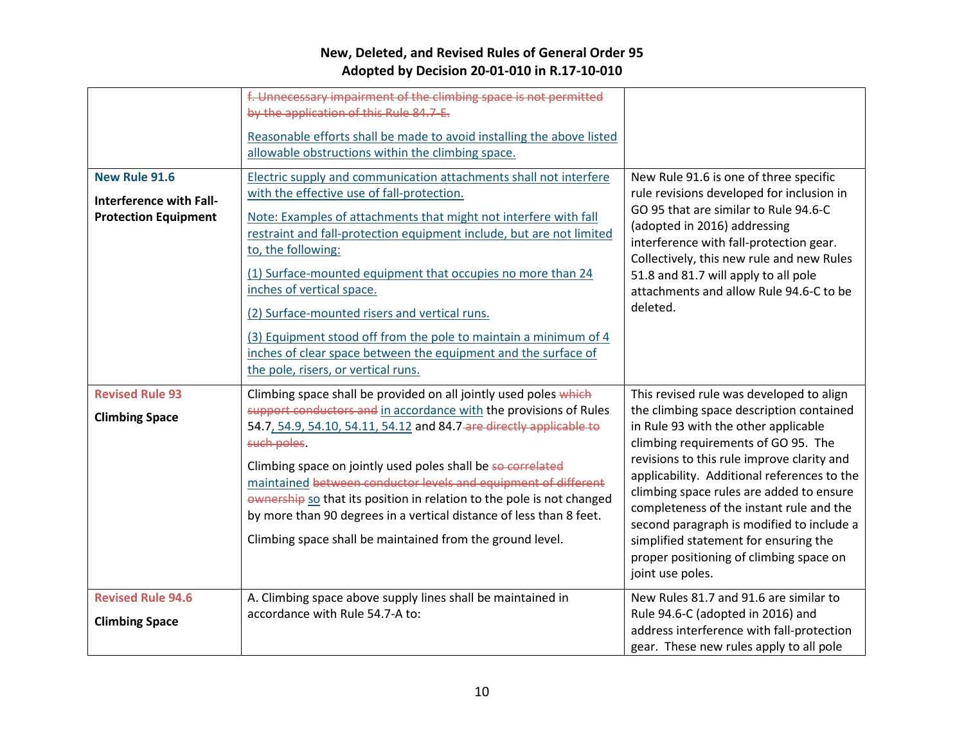|                                                                                       | f. Unnecessary impairment of the climbing space is not permitted<br>by the application of this Rule 84.7-E.<br>Reasonable efforts shall be made to avoid installing the above listed<br>allowable obstructions within the climbing space.                                                                                                                                                                                                                                                                                                                                                                   |                                                                                                                                                                                                                                                                                                                                                                                                                                                                                                               |
|---------------------------------------------------------------------------------------|-------------------------------------------------------------------------------------------------------------------------------------------------------------------------------------------------------------------------------------------------------------------------------------------------------------------------------------------------------------------------------------------------------------------------------------------------------------------------------------------------------------------------------------------------------------------------------------------------------------|---------------------------------------------------------------------------------------------------------------------------------------------------------------------------------------------------------------------------------------------------------------------------------------------------------------------------------------------------------------------------------------------------------------------------------------------------------------------------------------------------------------|
| <b>New Rule 91.6</b><br><b>Interference with Fall-</b><br><b>Protection Equipment</b> | Electric supply and communication attachments shall not interfere<br>with the effective use of fall-protection.<br>Note: Examples of attachments that might not interfere with fall<br>restraint and fall-protection equipment include, but are not limited<br>to, the following:<br>(1) Surface-mounted equipment that occupies no more than 24<br>inches of vertical space.<br>(2) Surface-mounted risers and vertical runs.<br>(3) Equipment stood off from the pole to maintain a minimum of 4<br>inches of clear space between the equipment and the surface of<br>the pole, risers, or vertical runs. | New Rule 91.6 is one of three specific<br>rule revisions developed for inclusion in<br>GO 95 that are similar to Rule 94.6-C<br>(adopted in 2016) addressing<br>interference with fall-protection gear.<br>Collectively, this new rule and new Rules<br>51.8 and 81.7 will apply to all pole<br>attachments and allow Rule 94.6-C to be<br>deleted.                                                                                                                                                           |
| <b>Revised Rule 93</b><br><b>Climbing Space</b>                                       | Climbing space shall be provided on all jointly used poles which<br>support conductors and in accordance with the provisions of Rules<br>54.7, 54.9, 54.10, 54.11, 54.12 and 84.7-are directly applicable to<br>such poles.<br>Climbing space on jointly used poles shall be so correlated<br>maintained between conductor levels and equipment of different<br>ownership so that its position in relation to the pole is not changed<br>by more than 90 degrees in a vertical distance of less than 8 feet.<br>Climbing space shall be maintained from the ground level.                                   | This revised rule was developed to align<br>the climbing space description contained<br>in Rule 93 with the other applicable<br>climbing requirements of GO 95. The<br>revisions to this rule improve clarity and<br>applicability. Additional references to the<br>climbing space rules are added to ensure<br>completeness of the instant rule and the<br>second paragraph is modified to include a<br>simplified statement for ensuring the<br>proper positioning of climbing space on<br>joint use poles. |
| <b>Revised Rule 94.6</b><br><b>Climbing Space</b>                                     | A. Climbing space above supply lines shall be maintained in<br>accordance with Rule 54.7-A to:                                                                                                                                                                                                                                                                                                                                                                                                                                                                                                              | New Rules 81.7 and 91.6 are similar to<br>Rule 94.6-C (adopted in 2016) and<br>address interference with fall-protection<br>gear. These new rules apply to all pole                                                                                                                                                                                                                                                                                                                                           |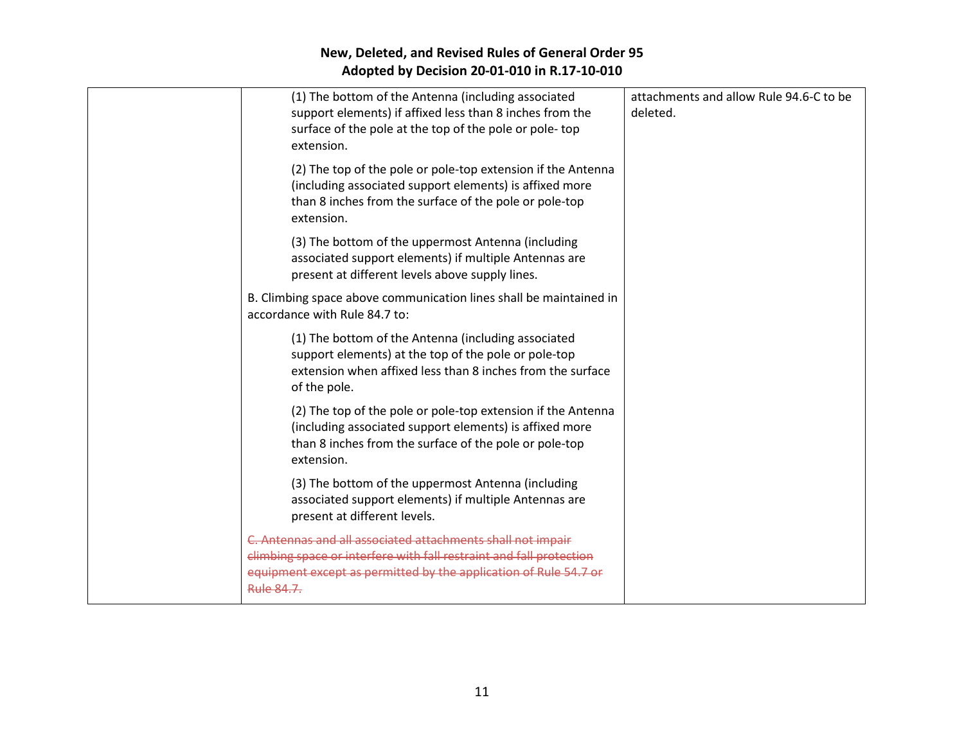|  | (1) The bottom of the Antenna (including associated<br>support elements) if affixed less than 8 inches from the<br>surface of the pole at the top of the pole or pole-top<br>extension.                              | attachments and allow Rule 94.6-C to be<br>deleted. |
|--|----------------------------------------------------------------------------------------------------------------------------------------------------------------------------------------------------------------------|-----------------------------------------------------|
|  | (2) The top of the pole or pole-top extension if the Antenna<br>(including associated support elements) is affixed more<br>than 8 inches from the surface of the pole or pole-top<br>extension.                      |                                                     |
|  | (3) The bottom of the uppermost Antenna (including<br>associated support elements) if multiple Antennas are<br>present at different levels above supply lines.                                                       |                                                     |
|  | B. Climbing space above communication lines shall be maintained in<br>accordance with Rule 84.7 to:                                                                                                                  |                                                     |
|  | (1) The bottom of the Antenna (including associated<br>support elements) at the top of the pole or pole-top<br>extension when affixed less than 8 inches from the surface<br>of the pole.                            |                                                     |
|  | (2) The top of the pole or pole-top extension if the Antenna<br>(including associated support elements) is affixed more<br>than 8 inches from the surface of the pole or pole-top<br>extension.                      |                                                     |
|  | (3) The bottom of the uppermost Antenna (including<br>associated support elements) if multiple Antennas are<br>present at different levels.                                                                          |                                                     |
|  | C. Antennas and all associated attachments shall not impair<br>climbing space or interfere with fall restraint and fall protection<br>equipment except as permitted by the application of Rule 54.7 or<br>Rule 84.7. |                                                     |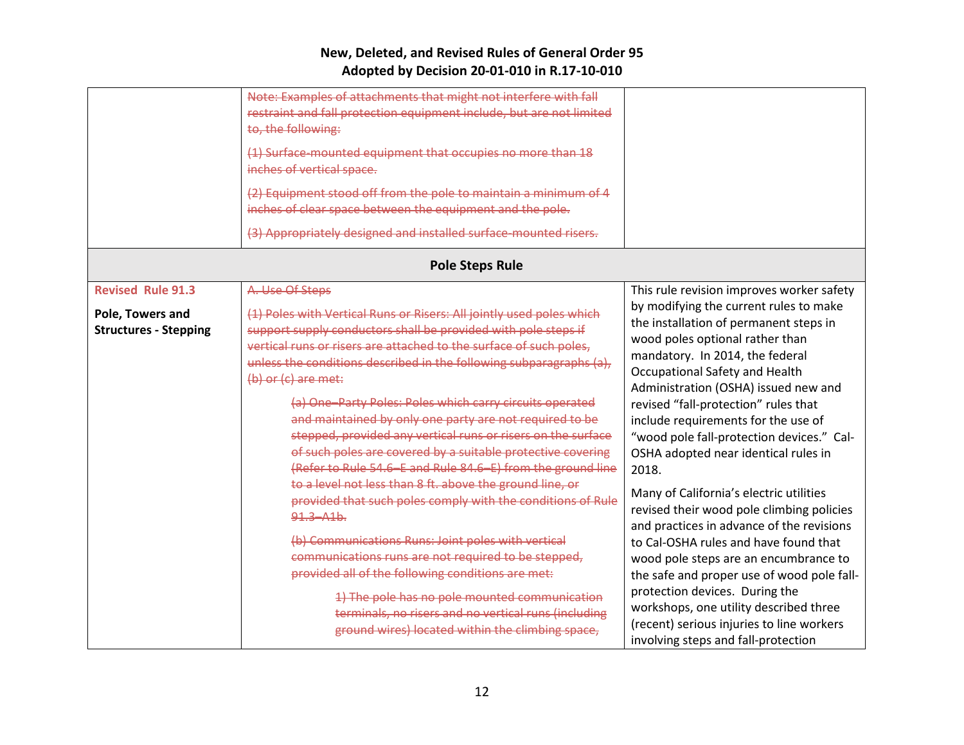|                                                  | Note: Examples of attachments that might not interfere with fall<br>restraint and fall protection equipment include, but are not limited<br>to, the following:<br>(1) Surface-mounted equipment that occupies no more than 18<br>inches of vertical space.<br>(2) Equipment stood off from the pole to maintain a minimum of 4<br>inches of clear space between the equipment and the pole.<br>(3) Appropriately designed and installed surface-mounted risers.                                                                                                                                                                     |                                                                                                                                                                                                                                                                                                                                                                                                                                   |
|--------------------------------------------------|-------------------------------------------------------------------------------------------------------------------------------------------------------------------------------------------------------------------------------------------------------------------------------------------------------------------------------------------------------------------------------------------------------------------------------------------------------------------------------------------------------------------------------------------------------------------------------------------------------------------------------------|-----------------------------------------------------------------------------------------------------------------------------------------------------------------------------------------------------------------------------------------------------------------------------------------------------------------------------------------------------------------------------------------------------------------------------------|
|                                                  | <b>Pole Steps Rule</b>                                                                                                                                                                                                                                                                                                                                                                                                                                                                                                                                                                                                              |                                                                                                                                                                                                                                                                                                                                                                                                                                   |
| <b>Revised Rule 91.3</b>                         | A. Use Of Steps                                                                                                                                                                                                                                                                                                                                                                                                                                                                                                                                                                                                                     | This rule revision improves worker safety                                                                                                                                                                                                                                                                                                                                                                                         |
| Pole, Towers and<br><b>Structures - Stepping</b> | (1) Poles with Vertical Runs or Risers: All jointly used poles which<br>support supply conductors shall be provided with pole steps if<br>vertical runs or risers are attached to the surface of such poles,<br>unless the conditions described in the following subparagraphs (a),<br>$(b)$ or $(c)$ are met:<br>(a) One-Party Poles: Poles which carry circuits operated<br>and maintained by only one party are not required to be<br>stepped, provided any vertical runs or risers on the surface<br>of such poles are covered by a suitable protective covering<br>(Refer to Rule 54.6–E and Rule 84.6–E) from the ground line | by modifying the current rules to make<br>the installation of permanent steps in<br>wood poles optional rather than<br>mandatory. In 2014, the federal<br>Occupational Safety and Health<br>Administration (OSHA) issued new and<br>revised "fall-protection" rules that<br>include requirements for the use of<br>"wood pole fall-protection devices." Cal-<br>OSHA adopted near identical rules in<br>2018.                     |
|                                                  | to a level not less than 8 ft. above the ground line, or<br>provided that such poles comply with the conditions of Rule<br>$91.3 - A1b.$<br>(b) Communications Runs: Joint poles with vertical<br>communications runs are not required to be stepped,<br>provided all of the following conditions are met:<br>1) The pole has no pole mounted communication<br>terminals, no risers and no vertical runs (including<br>ground wires) located within the climbing space,                                                                                                                                                             | Many of California's electric utilities<br>revised their wood pole climbing policies<br>and practices in advance of the revisions<br>to Cal-OSHA rules and have found that<br>wood pole steps are an encumbrance to<br>the safe and proper use of wood pole fall-<br>protection devices. During the<br>workshops, one utility described three<br>(recent) serious injuries to line workers<br>involving steps and fall-protection |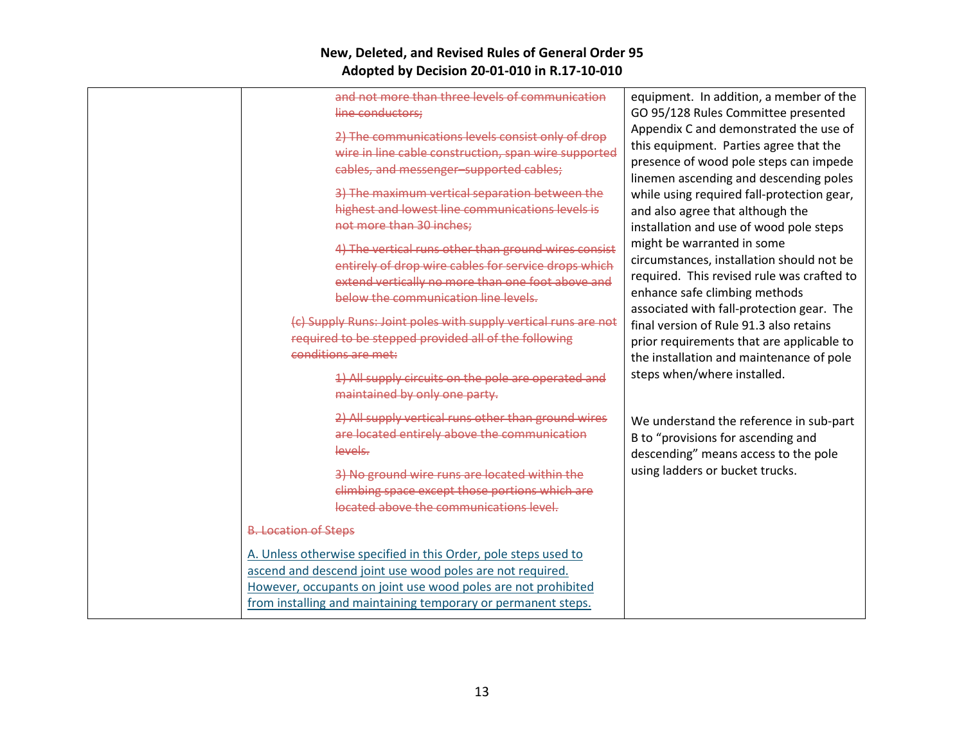| and not more than three levels of communication                 | equipment. In addition, a member of the    |
|-----------------------------------------------------------------|--------------------------------------------|
| line conductors;                                                | GO 95/128 Rules Committee presented        |
| 2) The communications levels consist only of drop               | Appendix C and demonstrated the use of     |
| wire in line cable construction, span wire supported            | this equipment. Parties agree that the     |
| cables, and messenger-supported cables;                         | presence of wood pole steps can impede     |
|                                                                 | linemen ascending and descending poles     |
| 3) The maximum vertical separation between the                  | while using required fall-protection gear, |
| highest and lowest line communications levels is                | and also agree that although the           |
| not more than 30 inches;                                        | installation and use of wood pole steps    |
|                                                                 | might be warranted in some                 |
| 4) The vertical runs other than ground wires consist            | circumstances, installation should not be  |
| entirely of drop wire cables for service drops which            | required. This revised rule was crafted to |
| extend vertically no more than one foot above and               | enhance safe climbing methods              |
| below the communication line levels.                            | associated with fall-protection gear. The  |
| (c) Supply Runs: Joint poles with supply vertical runs are not  | final version of Rule 91.3 also retains    |
| required to be stepped provided all of the following            | prior requirements that are applicable to  |
| conditions are met:                                             | the installation and maintenance of pole   |
|                                                                 | steps when/where installed.                |
| 1) All supply circuits on the pole are operated and             |                                            |
| maintained by only one party.                                   |                                            |
| 2) All supply vertical runs other than ground wires             | We understand the reference in sub-part    |
| are located entirely above the communication                    | B to "provisions for ascending and         |
| levels.                                                         | descending" means access to the pole       |
|                                                                 | using ladders or bucket trucks.            |
| 3) No ground wire runs are located within the                   |                                            |
| climbing space except those portions which are                  |                                            |
| located above the communications level.                         |                                            |
| <b>B. Location of Steps</b>                                     |                                            |
| A. Unless otherwise specified in this Order, pole steps used to |                                            |
| ascend and descend joint use wood poles are not required.       |                                            |
| However, occupants on joint use wood poles are not prohibited   |                                            |
| from installing and maintaining temporary or permanent steps.   |                                            |
|                                                                 |                                            |